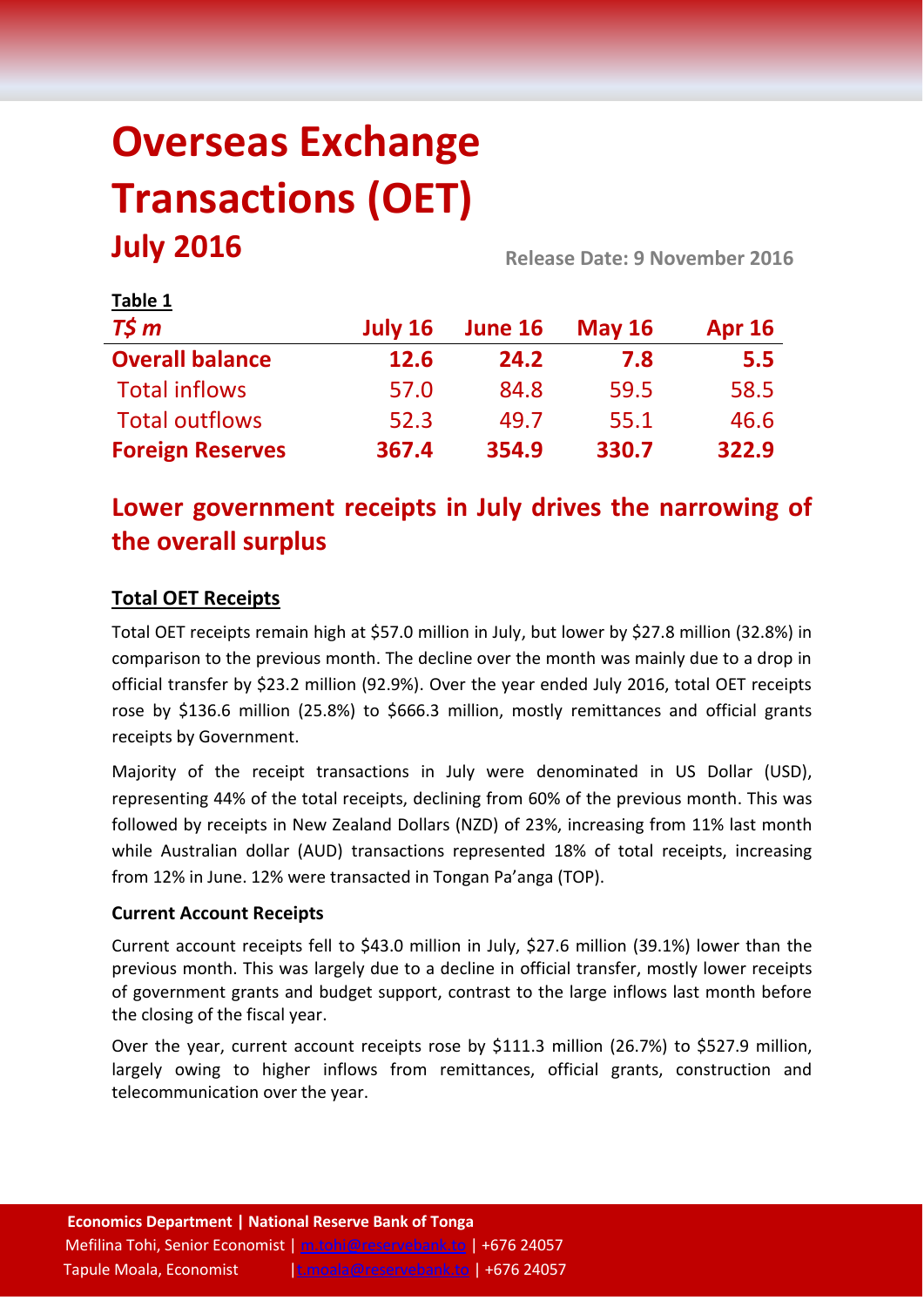# **Overseas Exchange Transactions (OET) July 2016 Release Date: 9 November <sup>2016</sup>**

| Table 1                 |         |         |               |               |
|-------------------------|---------|---------|---------------|---------------|
| $T\frac{2}{3}m$         | July 16 | June 16 | <b>May 16</b> | <b>Apr 16</b> |
| <b>Overall balance</b>  | 12.6    | 24.2    | 7.8           | 5.5           |
| <b>Total inflows</b>    | 57.0    | 84.8    | 59.5          | 58.5          |
| <b>Total outflows</b>   | 52.3    | 49.7    | 55.1          | 46.6          |
| <b>Foreign Reserves</b> | 367.4   | 354.9   | 330.7         | 322.9         |

# **Lower government receipts in July drives the narrowing of the overall surplus**

# **Total OET Receipts**

Total OET receipts remain high at \$57.0 million in July, but lower by \$27.8 million (32.8%) in comparison to the previous month. The decline over the month was mainly due to a drop in official transfer by \$23.2 million (92.9%). Over the year ended July 2016, total OET receipts rose by \$136.6 million (25.8%) to \$666.3 million, mostly remittances and official grants receipts by Government.

Majority of the receipt transactions in July were denominated in US Dollar (USD), representing 44% of the total receipts, declining from 60% of the previous month. This was followed by receipts in New Zealand Dollars (NZD) of 23%, increasing from 11% last month while Australian dollar (AUD) transactions represented 18% of total receipts, increasing from 12% in June. 12% were transacted in Tongan Pa'anga (TOP).

## **Current Account Receipts**

Current account receipts fell to \$43.0 million in July, \$27.6 million (39.1%) lower than the previous month. This was largely due to a decline in official transfer, mostly lower receipts of government grants and budget support, contrast to the large inflows last month before the closing of the fiscal year.

Over the year, current account receipts rose by \$111.3 million (26.7%) to \$527.9 million, largely owing to higher inflows from remittances, official grants, construction and telecommunication over the year.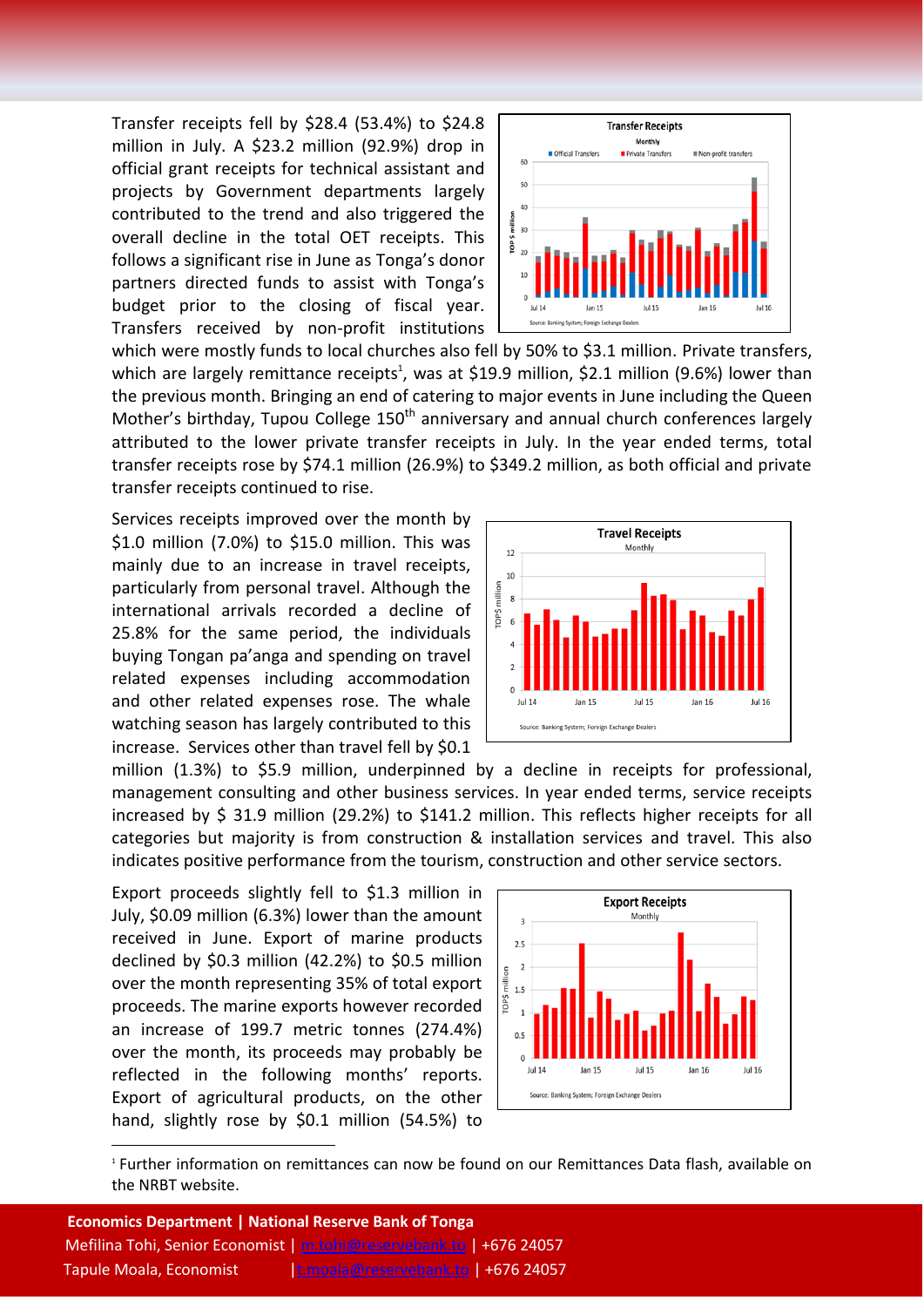Transfer receipts fell by \$28.4 (53.4%) to \$24.8 million in July. A \$23.2 million (92.9%) drop in official grant receipts for technical assistant and projects by Government departments largely contributed to the trend and also triggered the overall decline in the total OET receipts. This follows a significant rise in June as Tonga's donor partners directed funds to assist with Tonga's budget prior to the closing of fiscal year. Transfers received by non-profit institutions



which were mostly funds to local churches also fell by 50% to \$3.1 million. Private transfers, which are largely remittance receipts<sup>1</sup>, was at \$19.9 million, \$2.1 million (9.6%) lower than the previous month. Bringing an end of catering to major events in June including the Queen Mother's birthday, Tupou College  $150<sup>th</sup>$  anniversary and annual church conferences largely attributed to the lower private transfer receipts in July. In the year ended terms, total transfer receipts rose by \$74.1 million (26.9%) to \$349.2 million, as both official and private transfer receipts continued to rise.

Services receipts improved over the month by \$1.0 million (7.0%) to \$15.0 million. This was mainly due to an increase in travel receipts, particularly from personal travel. Although the international arrivals recorded a decline of 25.8% for the same period, the individuals buying Tongan pa'anga and spending on travel related expenses including accommodation and other related expenses rose. The whale watching season has largely contributed to this increase. Services other than travel fell by \$0.1



million (1.3%) to \$5.9 million, underpinned by a decline in receipts for professional, management consulting and other business services. In year ended terms, service receipts increased by \$ 31.9 million (29.2%) to \$141.2 million. This reflects higher receipts for all categories but majority is from construction & installation services and travel. This also indicates positive performance from the tourism, construction and other service sectors.

Export proceeds slightly fell to \$1.3 million in July, \$0.09 million (6.3%) lower than the amount received in June. Export of marine products declined by \$0.3 million (42.2%) to \$0.5 million over the month representing 35% of total export proceeds. The marine exports however recorded an increase of 199.7 metric tonnes (274.4%) over the month, its proceeds may probably be reflected in the following months' reports. Export of agricultural products, on the other hand, slightly rose by \$0.1 million (54.5%) to

**.** 



1 Further information on remittances can now be found on our Remittances Data flash, available on the NRBT website.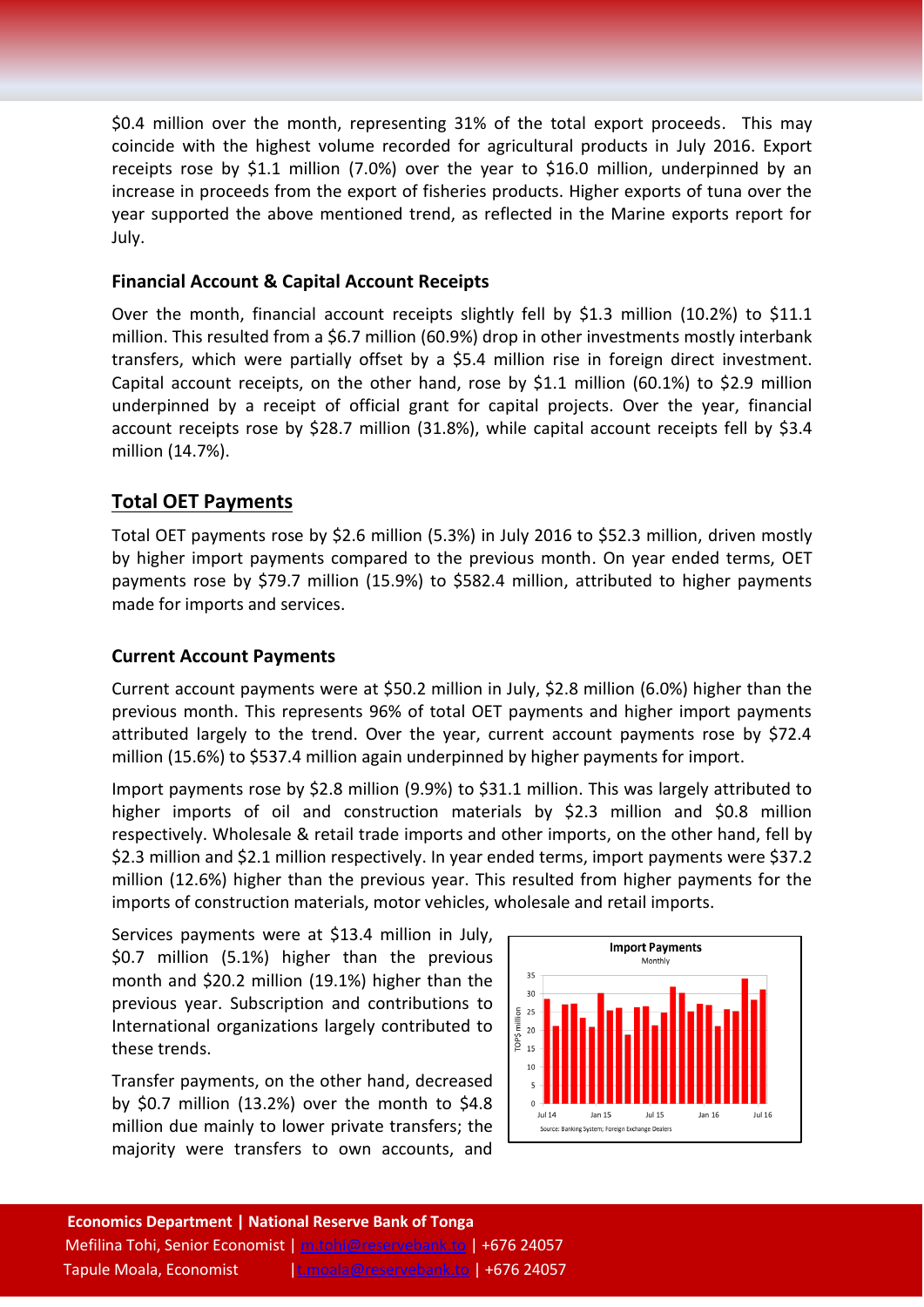\$0.4 million over the month, representing 31% of the total export proceeds. This may coincide with the highest volume recorded for agricultural products in July 2016. Export receipts rose by \$1.1 million (7.0%) over the year to \$16.0 million, underpinned by an increase in proceeds from the export of fisheries products. Higher exports of tuna over the year supported the above mentioned trend, as reflected in the Marine exports report for July.

### **Financial Account & Capital Account Receipts**

Over the month, financial account receipts slightly fell by \$1.3 million (10.2%) to \$11.1 million. This resulted from a \$6.7 million (60.9%) drop in other investments mostly interbank transfers, which were partially offset by a \$5.4 million rise in foreign direct investment. Capital account receipts, on the other hand, rose by \$1.1 million (60.1%) to \$2.9 million underpinned by a receipt of official grant for capital projects. Over the year, financial account receipts rose by \$28.7 million (31.8%), while capital account receipts fell by \$3.4 million (14.7%).

# **Total OET Payments**

Total OET payments rose by \$2.6 million (5.3%) in July 2016 to \$52.3 million, driven mostly by higher import payments compared to the previous month. On year ended terms, OET payments rose by \$79.7 million (15.9%) to \$582.4 million, attributed to higher payments made for imports and services.

### **Current Account Payments**

Current account payments were at \$50.2 million in July, \$2.8 million (6.0%) higher than the previous month. This represents 96% of total OET payments and higher import payments attributed largely to the trend. Over the year, current account payments rose by \$72.4 million (15.6%) to \$537.4 million again underpinned by higher payments for import.

Import payments rose by \$2.8 million (9.9%) to \$31.1 million. This was largely attributed to higher imports of oil and construction materials by \$2.3 million and \$0.8 million respectively. Wholesale & retail trade imports and other imports, on the other hand, fell by \$2.3 million and \$2.1 million respectively. In year ended terms, import payments were \$37.2 million (12.6%) higher than the previous year. This resulted from higher payments for the imports of construction materials, motor vehicles, wholesale and retail imports.

Services payments were at \$13.4 million in July, \$0.7 million (5.1%) higher than the previous month and \$20.2 million (19.1%) higher than the previous year. Subscription and contributions to International organizations largely contributed to these trends.

Transfer payments, on the other hand, decreased by \$0.7 million (13.2%) over the month to \$4.8 million due mainly to lower private transfers; the majority were transfers to own accounts, and

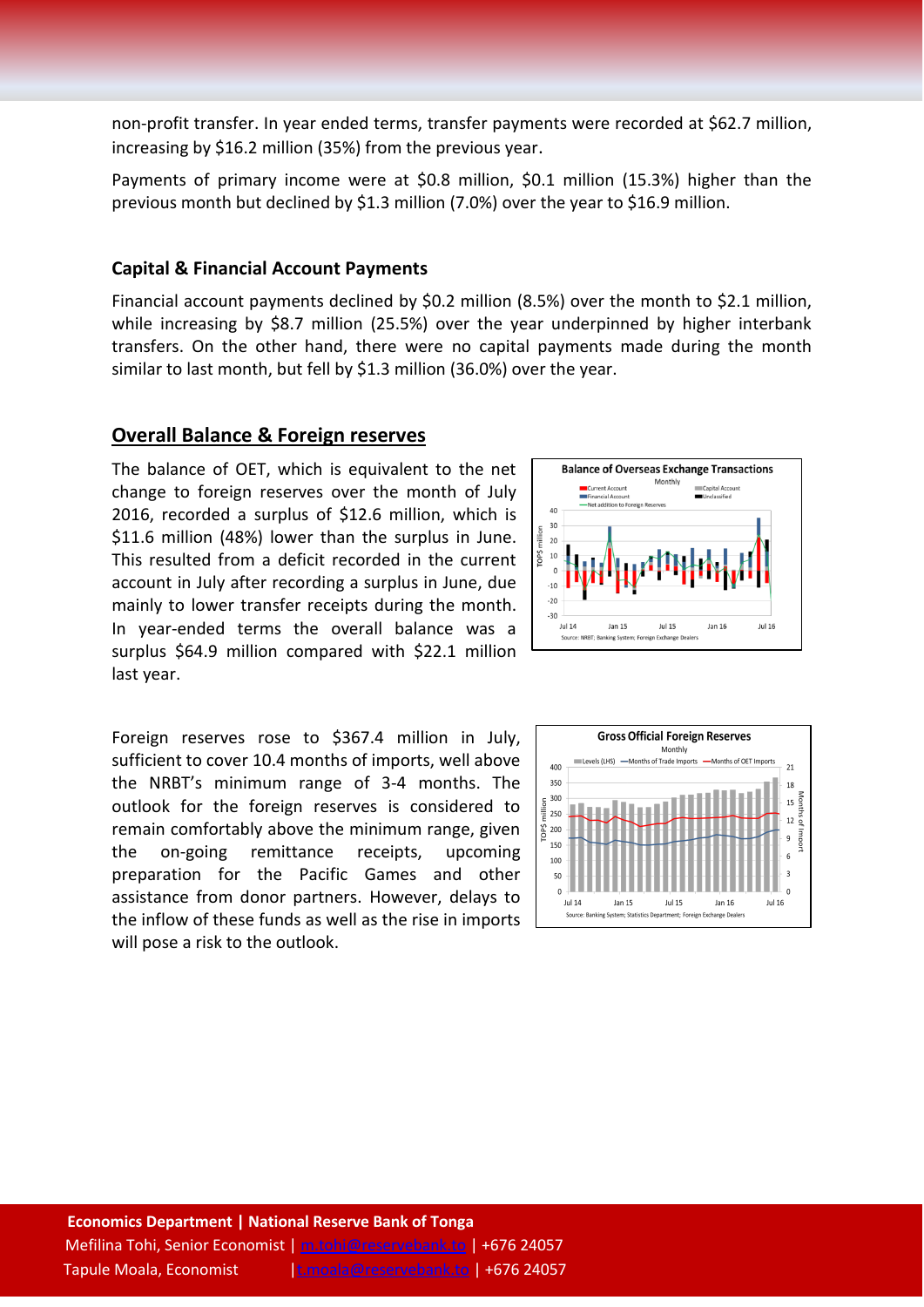non-profit transfer. In year ended terms, transfer payments were recorded at \$62.7 million, increasing by \$16.2 million (35%) from the previous year.

Payments of primary income were at \$0.8 million, \$0.1 million (15.3%) higher than the previous month but declined by \$1.3 million (7.0%) over the year to \$16.9 million.

#### **Capital & Financial Account Payments**

Financial account payments declined by \$0.2 million (8.5%) over the month to \$2.1 million, while increasing by \$8.7 million (25.5%) over the year underpinned by higher interbank transfers. On the other hand, there were no capital payments made during the month similar to last month, but fell by \$1.3 million (36.0%) over the year.

#### **Overall Balance & Foreign reserves**

The balance of OET, which is equivalent to the net change to foreign reserves over the month of July 2016, recorded a surplus of \$12.6 million, which is \$11.6 million (48%) lower than the surplus in June. This resulted from a deficit recorded in the current account in July after recording a surplus in June, due mainly to lower transfer receipts during the month. In year-ended terms the overall balance was a surplus \$64.9 million compared with \$22.1 million last year.



Foreign reserves rose to \$367.4 million in July, sufficient to cover 10.4 months of imports, well above the NRBT's minimum range of 3-4 months. The outlook for the foreign reserves is considered to remain comfortably above the minimum range, given the on-going remittance receipts, upcoming preparation for the Pacific Games and other assistance from donor partners. However, delays to the inflow of these funds as well as the rise in imports will pose a risk to the outlook.